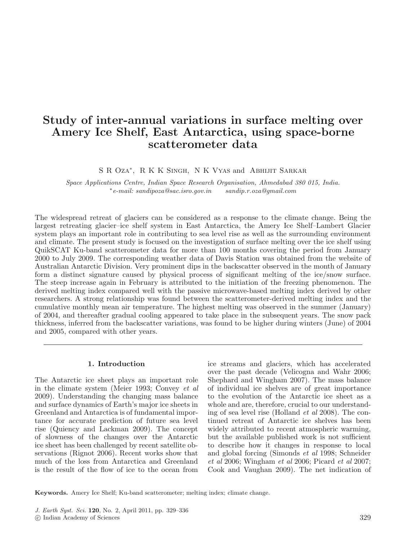# **Study of inter-annual variations in surface melting over Amery Ice Shelf, East Antarctica, using space-borne scatterometer data**

S R Oza<sup>∗</sup>, R K K Singh, N K Vyas and Abhijit Sarkar

Space Applications Centre, Indian Space Research Organisation, Ahmedabad 380 015, India. <sup>∗</sup>e-mail: sandipoza@sac.isro.gov.in sandip.r.oza@gmail.com

The widespread retreat of glaciers can be considered as a response to the climate change. Being the largest retreating glacier–ice shelf system in East Antarctica, the Amery Ice Shelf–Lambert Glacier system plays an important role in contributing to sea level rise as well as the surrounding environment and climate. The present study is focused on the investigation of surface melting over the ice shelf using QuikSCAT Ku-band scatterometer data for more than 100 months covering the period from January 2000 to July 2009. The corresponding weather data of Davis Station was obtained from the website of Australian Antarctic Division. Very prominent dips in the backscatter observed in the month of January form a distinct signature caused by physical process of significant melting of the ice/snow surface. The steep increase again in February is attributed to the initiation of the freezing phenomenon. The derived melting index compared well with the passive microwave-based melting index derived by other researchers. A strong relationship was found between the scatterometer-derived melting index and the cumulative monthly mean air temperature. The highest melting was observed in the summer (January) of 2004, and thereafter gradual cooling appeared to take place in the subsequent years. The snow pack thickness, inferred from the backscatter variations, was found to be higher during winters (June) of 2004 and 2005, compared with other years.

# **1. Introduction**

The Antarctic ice sheet plays an important role in the climate system (Meier 1993; Convey et al 2009). Understanding the changing mass balance and surface dynamics of Earth's major ice sheets in Greenland and Antarctica is of fundamental importance for accurate prediction of future sea level rise (Quiency and Lackman 2009). The concept of slowness of the changes over the Antarctic ice sheet has been challenged by recent satellite observations (Rignot 2006). Recent works show that much of the loss from Antarctica and Greenland is the result of the flow of ice to the ocean from ice streams and glaciers, which has accelerated over the past decade (Velicogna and Wahr 2006; Shephard and Wingham 2007). The mass balance of individual ice shelves are of great importance to the evolution of the Antarctic ice sheet as a whole and are, therefore, crucial to our understanding of sea level rise (Holland et al 2008). The continued retreat of Antarctic ice shelves has been widely attributed to recent atmospheric warming, but the available published work is not sufficient to describe how it changes in response to local and global forcing (Simonds et al 1998; Schneider et al 2006; Wingham et al 2006; Picard et al 2007; Cook and Vaughan 2009). The net indication of

**Keywords.** Amery Ice Shelf; Ku-band scatterometer; melting index; climate change.

J. Earth Syst. Sci. **120**, No. 2, April 2011, pp. 329–336

<sup>-</sup>c Indian Academy of Sciences 329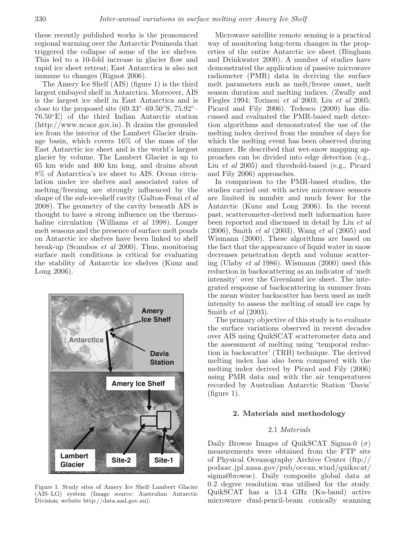these recently published works is the pronounced regional warming over the Antarctic Peninsula that triggered the collapse of some of the ice shelves. This led to a 10-fold increase in glacier flow and rapid ice sheet retreat; East Antarctica is also not immune to changes (Rignot 2006).

The Amery Ice Shelf (AIS) (figure 1) is the third largest embayed shelf in Antarctica. Moreover, AIS is the largest ice shelf in East Antarctica and is close to the proposed site  $(69.33°-69.50°S, 75.92°-$ 76.50◦E) of the third Indian Antarctic station (http://www.ncaor.gov.in). It drains the grounded ice from the interior of the Lambert Glacier drainage basin, which covers 16% of the mass of the East Antarctic ice sheet and is the world's largest glacier by volume. The Lambert Glacier is up to 65 km wide and 400 km long, and drains about 8% of Antarctica's ice sheet to AIS. Ocean circulation under ice shelves and associated rates of melting/freezing are strongly influenced by the shape of the sub-ice-shelf cavity (Galton-Fenzi et al 2008). The geometry of the cavity beneath AIS is thought to have a strong influence on the thermohaline circulation (Williams et al 1998). Longer melt seasons and the presence of surface melt ponds on Antarctic ice shelves have been linked to shelf break-up (Scambos et al 2000). Thus, monitoring surface melt conditions is critical for evaluating the stability of Antarctic ice shelves (Kunz and Long 2006).



Figure 1. Study sites of Amery Ice Shelf–Lambert Glacier (AIS–LG) system (Image source: Australian Antarctic Division; website http://data.aad.gov.au).

Microwave satellite remote sensing is a practical way of monitoring long-term changes in the properties of the entire Antarctic ice sheet (Bingham and Drinkwater 2000). A number of studies have demonstrated the application of passive microwave radiometer (PMR) data in deriving the surface melt parameters such as melt/freeze onset, melt season duration and melting indices. (Zwally and Fiegles 1994; Torinesi et al 2003; Liu et al 2005; Picard and Fily 2006). Tedesco (2009) has discussed and evaluated the PMR-based melt detection algorithms and demonstrated the use of the melting index derived from the number of days for which the melting event has been observed during summer. He described that wet-snow mapping approaches can be divided into edge detection (e.g., Liu et al 2005) and threshold-based (e.g., Picard and Fily 2006) approaches.

In comparison to the PMR-based studies, the studies carried out with active microwave sensors are limited in number and much fewer for the Antarctic (Kunz and Long 2006). In the recent past, scatterometer-derived melt information have been reported and discussed in detail by Liu et al  $(2006)$ , Smith *et al*  $(2003)$ , Wang *et al*  $(2005)$  and Wismann (2000). These algorithms are based on the fact that the appearance of liquid water in snow decreases penetration depth and volume scattering (Ulaby et al 1986). Wismann (2000) used this reduction in backscattering as an indicator of 'melt intensity' over the Greenland ice sheet. The integrated response of backscattering in summer from the mean winter backscatter has been used as melt intensity to assess the melting of small ice caps by Smith et al (2003).

The primary objective of this study is to evaluate the surface variations observed in recent decades over AIS using QuikSCAT scatterometer data and the assessment of melting using 'temporal reduction in backscatter' (TRB) technique. The derived melting index has also been compared with the melting index derived by Picard and Fily (2006) using PMR data and with the air temperatures recorded by Australian Antarctic Station 'Davis' (figure 1).

# **2. Materials and methodology**

# 2.1 Materials

Daily Browse Images of QuikSCAT Sigma-0  $(\sigma)$ measurements were obtained from the FTP site of Physical Oceanography Archive Center (ftp:// podaac.jpl.nasa.gov/pub/ocean wind/quikscat/ sigma0browse). Daily composite global data at 0.2 degree resolution was utilised for the study. QuikSCAT has a 13.4 GHz (Ku-band) active microwave dual-pencil-beam conically scanning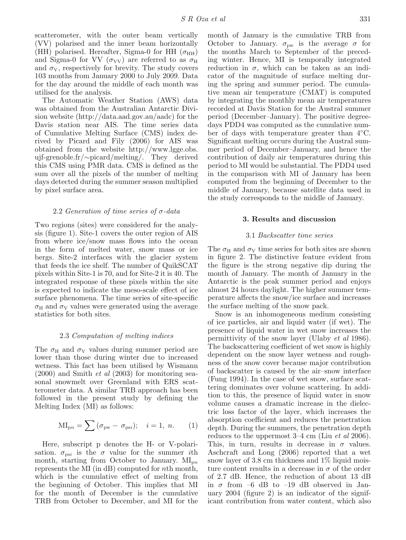scatterometer, with the outer beam vertically (VV) polarised and the inner beam horizontally (HH) polarised. Hereafter, Sigma-0 for HH ( $\sigma_{HH}$ ) and Sigma-0 for VV  $(\sigma_{VV})$  are referred to as  $\sigma_{H}$ and  $\sigma_V$ , respectively for brevity. The study covers 103 months from January 2000 to July 2009. Data for the day around the middle of each month was utilised for the analysis.

The Automatic Weather Station (AWS) data was obtained from the Australian Antarctic Division website (http://data.aad.gov.au/aadc) for the Davis station near AIS. The time series data of Cumulative Melting Surface (CMS) index derived by Picard and Fily (2006) for AIS was obtained from the website http://www.lgge.obs. ujf-grenoble.fr/∼picard/melting/. They derived this CMS using PMR data. CMS is defined as the sum over all the pixels of the number of melting days detected during the summer season multiplied by pixel surface area.

# 2.2 Generation of time series of σ-data

Two regions (sites) were considered for the analysis (figure 1). Site-1 covers the outer region of AIS from where ice/snow mass flows into the ocean in the form of melted water, snow mass or ice bergs. Site-2 interfaces with the glacier system that feeds the ice shelf. The number of QuikSCAT pixels within Site-1 is 70, and for Site-2 it is 40. The integrated response of these pixels within the site is expected to indicate the meso-scale effect of ice surface phenomena. The time series of site-specific  $\sigma_H$  and  $\sigma_V$  values were generated using the average statistics for both sites.

### 2.3 Computation of melting indices

The  $\sigma_{\rm H}$  and  $\sigma_{\rm V}$  values during summer period are lower than those during winter due to increased wetness. This fact has been utilised by Wismann  $(2000)$  and Smith *et al*  $(2003)$  for monitoring seasonal snowmelt over Greenland with ERS scatterometer data. A similar TRB approach has been followed in the present study by defining the Melting Index (MI) as follows:

$$
MI_{pn} = \sum (\sigma_{pw} - \sigma_{psi}); \quad i = 1, n. \tag{1}
$$

Here, subscript p denotes the H- or V-polarisation.  $\sigma_{\text{psi}}$  is the  $\sigma$  value for the summer *i*th month, starting from October to January.  $MI_{\text{dip}}$ represents the MI (in dB) computed for nth month, which is the cumulative effect of melting from the beginning of October. This implies that MI for the month of December is the cumulative TRB from October to December, and MI for the

month of January is the cumulative TRB from October to January.  $\sigma_{\text{pw}}$  is the average  $\sigma$  for the months March to September of the preceding winter. Hence, MI is temporally integrated reduction in  $\sigma$ , which can be taken as an indicator of the magnitude of surface melting during the spring and summer period. The cumulative mean air temperature (CMAT) is computed by integrating the monthly mean air temperatures recorded at Davis Station for the Austral summer period (December–January). The positive degreedays PDD4 was computed as the cumulative number of days with temperature greater than 4◦C. Significant melting occurs during the Austral summer period of December–January, and hence the contribution of daily air temperatures during this period to MI would be substantial. The PDD4 used in the comparison with MI of January has been computed from the beginning of December to the middle of January, because satellite data used in the study corresponds to the middle of January.

## **3. Results and discussion**

# 3.1 Backscatter time series

The  $\sigma_{\rm H}$  and  $\sigma_{\rm V}$  time series for both sites are shown in figure 2. The distinctive feature evident from the figure is the strong negative dip during the month of January. The month of January in the Antarctic is the peak summer period and enjoys almost 24 hours daylight. The higher summer temperature affects the snow/ice surface and increases the surface melting of the snow pack.

Snow is an inhomogeneous medium consisting of ice particles, air and liquid water (if wet). The presence of liquid water in wet snow increases the permittivity of the snow layer (Ulaby et al 1986). The backscattering coefficient of wet snow is highly dependent on the snow layer wetness and roughness of the snow cover because major contribution of backscatter is caused by the air–snow interface (Fung 1994). In the case of wet snow, surface scattering dominates over volume scattering. In addition to this, the presence of liquid water in snow volume causes a dramatic increase in the dielectric loss factor of the layer, which increases the absorption coefficient and reduces the penetration depth. During the summers, the penetration depth reduces to the uppermost 3–4 cm (Liu et al 2006). This, in turn, results in decrease in  $\sigma$  values. Aschcraft and Long (2006) reported that a wet snow layer of 3.8 cm thickness and  $1\%$  liquid moisture content results in a decrease in  $\sigma$  of the order of 2.7 dB. Hence, the reduction of about 13 dB in  $\sigma$  from -6 dB to -19 dB observed in January 2004 (figure 2) is an indicator of the significant contribution from water content, which also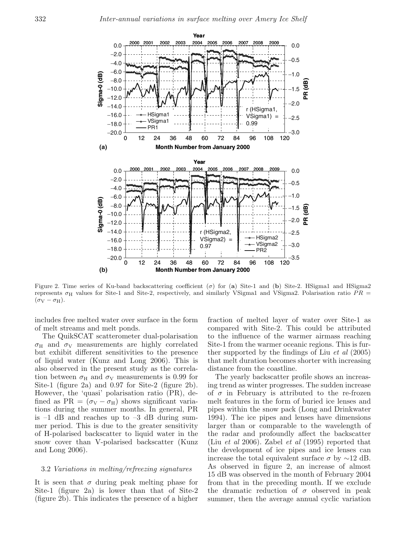

Figure 2. Time series of Ku-band backscattering coefficient  $(\sigma)$  for (**a**) Site-1 and (**b**) Site-2. HSigma1 and HSigma2 represents  $\sigma_H$  values for Site-1 and Site-2, respectively, and similarly VSigma1 and VSigma2. Polarisation ratio  $PR =$  $(\sigma_V - \sigma_H)$ .

includes free melted water over surface in the form of melt streams and melt ponds.

The QuikSCAT scatterometer dual-polarisation  $\sigma_H$  and  $\sigma_V$  measurements are highly correlated but exhibit different sensitivities to the presence of liquid water (Kunz and Long 2006). This is also observed in the present study as the correlation between  $\sigma_{\text{H}}$  and  $\sigma_{\text{V}}$  measurements is 0.99 for Site-1 (figure 2a) and 0.97 for Site-2 (figure 2b). However, the 'quasi' polarisation ratio (PR), defined as PR =  $(\sigma_V - \sigma_H)$  shows significant variations during the summer months. In general, PR is  $-1$  dB and reaches up to  $-3$  dB during summer period. This is due to the greater sensitivity of H-polarised backscatter to liquid water in the snow cover than V-polarised backscatter (Kunz and Long 2006).

## 3.2 Variations in melting/refreezing signatures

It is seen that  $\sigma$  during peak melting phase for Site-1 (figure 2a) is lower than that of Site-2 (figure 2b). This indicates the presence of a higher

fraction of melted layer of water over Site-1 as compared with Site-2. This could be attributed to the influence of the warmer airmass reaching Site-1 from the warmer oceanic regions. This is further supported by the findings of Liu et al (2005) that melt duration becomes shorter with increasing distance from the coastline.

The yearly backscatter profile shows an increasing trend as winter progresses. The sudden increase of  $\sigma$  in February is attributed to the re-frozen melt features in the form of buried ice lenses and pipes within the snow pack (Long and Drinkwater 1994). The ice pipes and lenses have dimensions larger than or comparable to the wavelength of the radar and profoundly affect the backscatter (Liu et al 2006). Zabel et al (1995) reported that the development of ice pipes and ice lenses can increase the total equivalent surface  $\sigma$  by  $\sim$ 12 dB. As observed in figure 2, an increase of almost 15 dB was observed in the month of February 2004 from that in the preceding month. If we exclude the dramatic reduction of  $\sigma$  observed in peak summer, then the average annual cyclic variation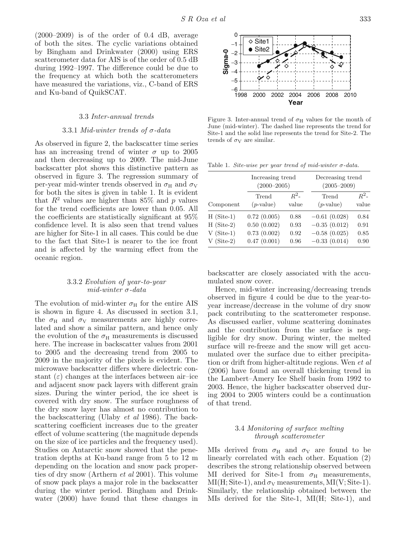$(2000-2009)$  is of the order of 0.4 dB, average of both the sites. The cyclic variations obtained by Bingham and Drinkwater (2000) using ERS scatterometer data for AIS is of the order of 0.5 dB during 1992–1997. The difference could be due to the frequency at which both the scatterometers have measured the variations, viz., C-band of ERS and Ku-band of QuikSCAT.

#### 3.3 Inter-annual trends

# 3.3.1 Mid-winter trends of  $\sigma$ -data

As observed in figure 2, the backscatter time series has an increasing trend of winter  $\sigma$  up to 2005 and then decreasing up to 2009. The mid-June backscatter plot shows this distinctive pattern as observed in figure 3. The regression summary of per-year mid-winter trends observed in  $\sigma_{\rm H}$  and  $\sigma_{\rm V}$ for both the sites is given in table 1. It is evident that  $R^2$  values are higher than 85% and p values for the trend coefficients are lower than 0.05. All the coefficients are statistically significant at 95% confidence level. It is also seen that trend values are higher for Site-1 in all cases. This could be due to the fact that Site-1 is nearer to the ice front and is affected by the warming effect from the oceanic region.

# 3.3.2 Evolution of year-to-year mid-winter  $\sigma$ -data

The evolution of mid-winter  $\sigma_{\rm H}$  for the entire AIS is shown in figure 4. As discussed in section 3.1, the  $\sigma_{\rm H}$  and  $\sigma_{\rm V}$  measurements are highly correlated and show a similar pattern, and hence only the evolution of the  $\sigma_{\rm H}$  measurements is discussed here. The increase in backscatter values from 2001 to 2005 and the decreasing trend from 2005 to 2009 in the majority of the pixels is evident. The microwave backscatter differs where dielectric constant  $(\varepsilon)$  changes at the interfaces between air-ice and adjacent snow pack layers with different grain sizes. During the winter period, the ice sheet is covered with dry snow. The surface roughness of the dry snow layer has almost no contribution to the backscattering (Ulaby et al 1986). The backscattering coefficient increases due to the greater effect of volume scattering (the magnitude depends on the size of ice particles and the frequency used). Studies on Antarctic snow showed that the penetration depths at Ku-band range from 5 to 12 m depending on the location and snow pack properties of dry snow (Arthern *et al* 2001). This volume of snow pack plays a major role in the backscatter during the winter period. Bingham and Drinkwater (2000) have found that these changes in



Figure 3. Inter-annual trend of  $\sigma_H$  values for the month of June (mid-winter). The dashed line represents the trend for Site-1 and the solid line represents the trend for Site-2. The trends of  $\sigma_V$  are similar.

Table 1. Site-wise per year trend of mid-winter  $\sigma$ -data.

|              | Increasing trend<br>$(2000 - 2005)$ |         | Decreasing trend<br>$(2005 - 2009)$ |         |
|--------------|-------------------------------------|---------|-------------------------------------|---------|
| Component    | Trend                               | $R^2$ - | Trend                               | $R^2$ - |
|              | $(p$ -value)                        | value   | $(p$ -value)                        | value   |
| $H(Site-1)$  | 0.72(0.005)                         | 0.88    | $-0.61(0.028)$                      | 0.84    |
| $H(Site-2)$  | 0.50(0.002)                         | 0.93    | $-0.35(0.012)$                      | 0.91    |
| $V$ (Site-1) | 0.73(0.002)                         | 0.92    | $-0.58(0.025)$                      | 0.85    |
| $V$ (Site-2) | 0.47(0.001)                         | 0.96    | $-0.33(0.014)$                      | 0.90    |

backscatter are closely associated with the accumulated snow cover.

Hence, mid-winter increasing/decreasing trends observed in figure 4 could be due to the year-toyear increase/decrease in the volume of dry snow pack contributing to the scatterometer response. As discussed earlier, volume scattering dominates and the contribution from the surface is negligible for dry snow. During winter, the melted surface will re-freeze and the snow will get accumulated over the surface due to either precipitation or drift from higher-altitude regions. Wen et al (2006) have found an overall thickening trend in the Lambert–Amery Ice Shelf basin from 1992 to 2003. Hence, the higher backscatter observed during 2004 to 2005 winters could be a continuation of that trend.

# 3.4 Monitoring of surface melting through scatterometer

MIs derived from  $\sigma_H$  and  $\sigma_V$  are found to be linearly correlated with each other. Equation (2) describes the strong relationship observed between MI derived for Site-1 from  $\sigma_{\text{H}}$  measurements,  $MI(H; Site-1)$ , and  $\sigma_V$  measurements,  $MI(V; Site-1)$ . Similarly, the relationship obtained between the MIs derived for the Site-1, MI(H; Site-1), and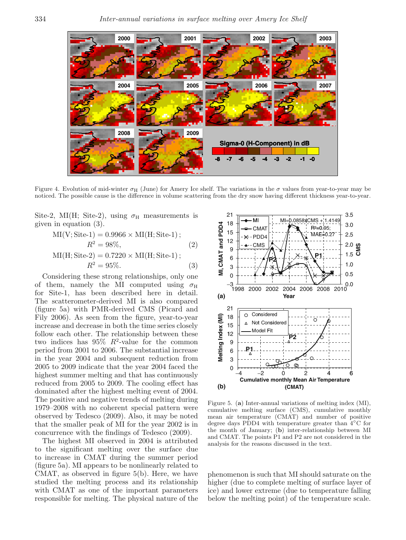

Figure 4. Evolution of mid-winter  $\sigma_H$  (June) for Amery Ice shelf. The variations in the  $\sigma$  values from year-to-year may be noticed. The possible cause is the difference in volume scattering from the dry snow having different thickness year-to-year.

Site-2, MI(H; Site-2), using  $\sigma_{\rm H}$  measurements is given in equation (3).

MI(V; Site-1) = 0.9966 × MI(H; Site-1);  
\n
$$
R^2 = 98\%,
$$
 (2)  
\nMI(H; Site-2) = 0.7220 × MI(H; Site-1);  
\n $R^2 = 95\%.$  (3)

Considering these strong relationships, only one of them, namely the MI computed using  $\sigma_H$ for Site-1, has been described here in detail. The scatterometer-derived MI is also compared (figure 5a) with PMR-derived CMS (Picard and Fily 2006). As seen from the figure, year-to-year increase and decrease in both the time series closely follow each other. The relationship between these two indices has  $95\%$   $R^2$ -value for the common period from 2001 to 2006. The substantial increase in the year 2004 and subsequent reduction from 2005 to 2009 indicate that the year 2004 faced the highest summer melting and that has continuously reduced from 2005 to 2009. The cooling effect has dominated after the highest melting event of 2004. The positive and negative trends of melting during 1979–2008 with no coherent special pattern were observed by Tedesco (2009). Also, it may be noted that the smaller peak of MI for the year 2002 is in concurrence with the findings of Tedesco (2009).

The highest MI observed in 2004 is attributed to the significant melting over the surface due to increase in CMAT during the summer period (figure 5a). MI appears to be nonlinearly related to CMAT, as observed in figure 5(b). Here, we have studied the melting process and its relationship with CMAT as one of the important parameters responsible for melting. The physical nature of the



Figure 5. (**a**) Inter-annual variations of melting index (MI), cumulative melting surface (CMS), cumulative monthly mean air temperature (CMAT) and number of positive degree days PDD4 with temperature greater than 4◦C for the month of January; (**b**) inter-relationship between MI and CMAT. The points P1 and P2 are not considered in the analysis for the reasons discussed in the text.

phenomenon is such that MI should saturate on the higher (due to complete melting of surface layer of ice) and lower extreme (due to temperature falling below the melting point) of the temperature scale.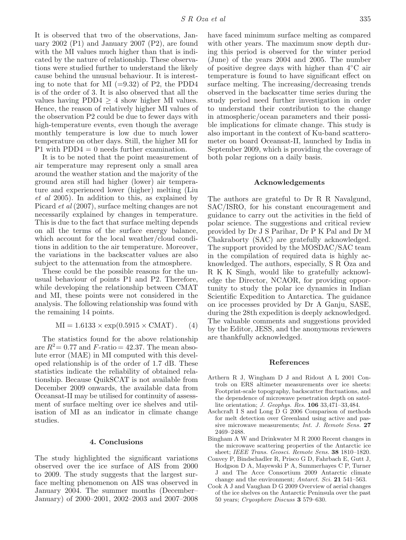It is observed that two of the observations, January 2002 (P1) and January 2007 (P2), are found with the MI values much higher than that is indicated by the nature of relationship. These observations were studied further to understand the likely cause behind the unusual behaviour. It is interesting to note that for MI  $(=9.32)$  of P2, the PDD4 is of the order of 3. It is also observed that all the values having  $PDD4 > 4$  show higher MI values. Hence, the reason of relatively higher MI values of the observation P2 could be due to fewer days with high-temperature events, even though the average monthly temperature is low due to much lower temperature on other days. Still, the higher MI for P1 with  $PDD4 = 0$  needs further examination.

It is to be noted that the point measurement of air temperature may represent only a small area around the weather station and the majority of the ground area still had higher (lower) air temperature and experienced lower (higher) melting (Liu et al 2005). In addition to this, as explained by Picard et al (2007), surface melting changes are not necessarily explained by changes in temperature. This is due to the fact that surface melting depends on all the terms of the surface energy balance, which account for the local weather/cloud conditions in addition to the air temperature. Moreover, the variations in the backscatter values are also subject to the attenuation from the atmosphere.

These could be the possible reasons for the unusual behaviour of points P1 and P2. Therefore, while developing the relationship between CMAT and MI, these points were not considered in the analysis. The following relationship was found with the remaining 14 points.

$$
MI = 1.6133 \times exp(0.5915 \times CMAT)
$$
. (4)

The statistics found for the above relationship are  $R^2 = 0.77$  and  $F$ -ratio = 42.37. The mean absolute error (MAE) in MI computed with this developed relationship is of the order of 1.7 dB. These statistics indicate the reliability of obtained relationship. Because QuikSCAT is not available from December 2009 onwards, the available data from Oceansat-II may be utilised for continuity of assessment of surface melting over ice shelves and utilisation of MI as an indicator in climate change studies.

# **4. Conclusions**

The study highlighted the significant variations observed over the ice surface of AIS from 2000 to 2009. The study suggests that the largest surface melting phenomenon on AIS was observed in January 2004. The summer months (December– January) of 2000–2001, 2002–2003 and 2007–2008 have faced minimum surface melting as compared with other years. The maximum snow depth during this period is observed for the winter period (June) of the years 2004 and 2005. The number of positive degree days with higher than 4◦C air temperature is found to have significant effect on surface melting. The increasing/decreasing trends observed in the backscatter time series during the study period need further investigation in order to understand their contribution to the change in atmospheric/ocean parameters and their possible implications for climate change. This study is also important in the context of Ku-band scatterometer on board Oceansat-II, launched by India in September 2009, which is providing the coverage of

### **Acknowledgements**

both polar regions on a daily basis.

The authors are grateful to Dr R R Navalgund, SAC/ISRO, for his constant encouragement and guidance to carry out the activities in the field of polar science. The suggestions and critical review provided by Dr J S Parihar, Dr P K Pal and Dr M Chakraborty (SAC) are gratefully acknowledged. The support provided by the MOSDAC/SAC team in the compilation of required data is highly acknowledged. The authors, especially, S R Oza and R K K Singh, would like to gratefully acknowledge the Director, NCAOR, for providing opportunity to study the polar ice dynamics in Indian Scientific Expedition to Antarctica. The guidance on ice processes provided by Dr A Ganju, SASE, during the 28th expedition is deeply acknowledged. The valuable comments and suggestions provided by the Editor, JESS, and the anonymous reviewers are thankfully acknowledged.

## **References**

- Arthern R J, Wingham D J and Ridout A L 2001 Controls on ERS altimeter measurements over ice sheets: Footprint-scale topography, backscatter fluctuations, and the dependence of microwave penetration depth on satellite orientation; J. Geophys. Res. **106** 33,471–33,484.
- Aschcraft I S and Long D G 2006 Comparison of methods for melt detection over Greenland using active and passive microwave measurements; Int. J. Remote Sens. **27** 2469–2488.
- Bingham A W and Drinkwater M R 2000 Recent changes in the microwave scattering properties of the Antarctic ice sheet; IEEE Trans. Geosci. Remote Sens. **38** 1810–1820.
- Convey P, Bindschadler R, Prisco G D, Fahrbach E, Gutt J, Hodgson D A, Mayewski P A, Summerhayes C P, Turner J and The Acce Consortium 2009 Antarctic climate change and the environment; Antarct. Sci. **21** 541–563.
- Cook A J and Vaughan D G 2009 Overview of aerial changes of the ice shelves on the Antarctic Peninsula over the past 50 years; Cryosphere Discuss **3** 579–630.